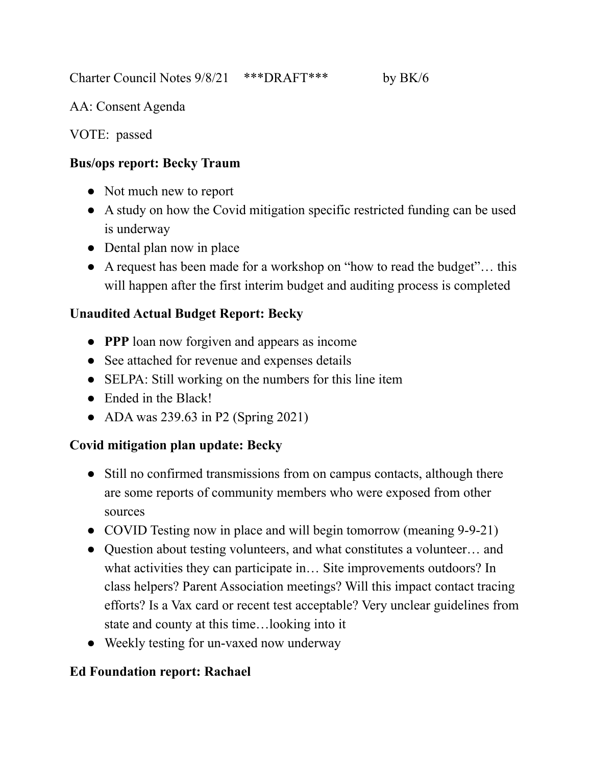Charter Council Notes 9/8/21 \*\*\*DRAFT\*\*\* by BK/6

AA: Consent Agenda

VOTE: passed

### **Bus/ops report: Becky Traum**

- **●** Not much new to report
- **●** A study on how the Covid mitigation specific restricted funding can be used is underway
- **●** Dental plan now in place
- **●** A request has been made for a workshop on "how to read the budget"… this will happen after the first interim budget and auditing process is completed

## **Unaudited Actual Budget Report: Becky**

- **● PPP** loan now forgiven and appears as income
- **●** See attached for revenue and expenses details
- **●** SELPA: Still working on the numbers for this line item
- **●** Ended in the Black!
- **●** ADA was 239.63 in P2 (Spring 2021)

# **Covid mitigation plan update: Becky**

- Still no confirmed transmissions from on campus contacts, although there are some reports of community members who were exposed from other sources
- COVID Testing now in place and will begin tomorrow (meaning 9-9-21)
- Question about testing volunteers, and what constitutes a volunteer… and what activities they can participate in… Site improvements outdoors? In class helpers? Parent Association meetings? Will this impact contact tracing efforts? Is a Vax card or recent test acceptable? Very unclear guidelines from state and county at this time…looking into it
- Weekly testing for un-vaxed now underway

## **Ed Foundation report: Rachael**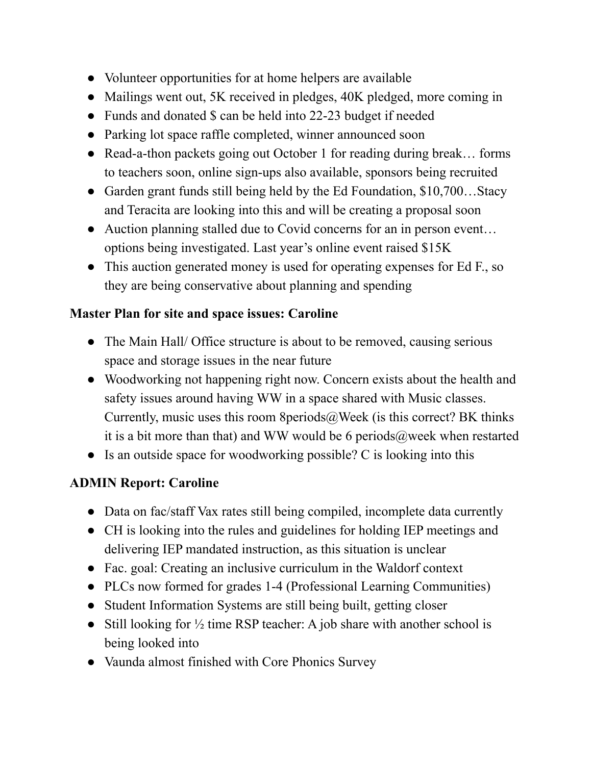- Volunteer opportunities for at home helpers are available
- Mailings went out, 5K received in pledges, 40K pledged, more coming in
- Funds and donated \$ can be held into 22-23 budget if needed
- Parking lot space raffle completed, winner announced soon
- Read-a-thon packets going out October 1 for reading during break... forms to teachers soon, online sign-ups also available, sponsors being recruited
- Garden grant funds still being held by the Ed Foundation, \$10,700...Stacy and Teracita are looking into this and will be creating a proposal soon
- Auction planning stalled due to Covid concerns for an in person event... options being investigated. Last year's online event raised \$15K
- This auction generated money is used for operating expenses for Ed F., so they are being conservative about planning and spending

## **Master Plan for site and space issues: Caroline**

- The Main Hall/ Office structure is about to be removed, causing serious space and storage issues in the near future
- Woodworking not happening right now. Concern exists about the health and safety issues around having WW in a space shared with Music classes. Currently, music uses this room 8periods $@$ Week (is this correct? BK thinks it is a bit more than that) and WW would be 6 periods  $\omega$  week when restarted
- Is an outside space for woodworking possible? C is looking into this

# **ADMIN Report: Caroline**

- Data on fac/staff Vax rates still being compiled, incomplete data currently
- CH is looking into the rules and guidelines for holding IEP meetings and delivering IEP mandated instruction, as this situation is unclear
- Fac. goal: Creating an inclusive curriculum in the Waldorf context
- PLCs now formed for grades 1-4 (Professional Learning Communities)
- Student Information Systems are still being built, getting closer
- Still looking for  $\frac{1}{2}$  time RSP teacher: A job share with another school is being looked into
- Vaunda almost finished with Core Phonics Survey